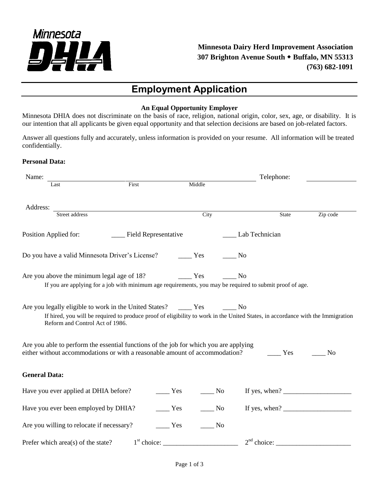

# **Employment Application**

#### **An Equal Opportunity Employer**

Minnesota DHIA does not discriminate on the basis of race, religion, national origin, color, sex, age, or disability. It is our intention that all applicants be given equal opportunity and that selection decisions are based on job-related factors.

Answer all questions fully and accurately, unless information is provided on your resume. All information will be treated confidentially.

### **Personal Data:**

| Name:                                                                                                                                                                |       |                           |                             |                      | Telephone: |                                                                                                        |
|----------------------------------------------------------------------------------------------------------------------------------------------------------------------|-------|---------------------------|-----------------------------|----------------------|------------|--------------------------------------------------------------------------------------------------------|
| Last                                                                                                                                                                 | First |                           | Middle                      |                      |            |                                                                                                        |
| Address:                                                                                                                                                             |       |                           |                             |                      |            |                                                                                                        |
| Street address                                                                                                                                                       |       |                           | City                        |                      | State      | Zip code                                                                                               |
| Position Applied for:                                                                                                                                                |       | ____ Field Representative |                             | _____ Lab Technician |            |                                                                                                        |
| Do you have a valid Minnesota Driver's License?                                                                                                                      |       |                           | Yes                         | No                   |            |                                                                                                        |
| Are you above the minimum legal age of 18? The Mes<br>If you are applying for a job with minimum age requirements, you may be required to submit proof of age.       |       |                           |                             | No                   |            |                                                                                                        |
| If hired, you will be required to produce proof of eligibility to work in the United States, in accordance with the Immigration<br>Reform and Control Act of 1986.   |       |                           |                             |                      |            |                                                                                                        |
| Are you able to perform the essential functions of the job for which you are applying<br>either without accommodations or with a reasonable amount of accommodation? |       |                           |                             |                      | Yes        | N <sub>0</sub>                                                                                         |
| <b>General Data:</b>                                                                                                                                                 |       |                           |                             |                      |            |                                                                                                        |
| Have you ever applied at DHIA before?                                                                                                                                |       | Yes                       | N <sub>o</sub>              |                      |            | If yes, when? $\frac{1}{\sqrt{1-\frac{1}{2}}}\left\{\cos \frac{2\pi i}{\sin \frac{2\pi i}{2}}\right\}$ |
| Have you ever been employed by DHIA?                                                                                                                                 |       | $\frac{1}{1}$ Yes         | $\overline{\phantom{0}}$ No |                      |            | If yes, when? $\frac{1}{\sqrt{1-\frac{1}{2}} \cdot \frac{1}{2}}$                                       |
| Are you willing to relocate if necessary?                                                                                                                            |       | Yes                       | No                          |                      |            |                                                                                                        |
| Prefer which area(s) of the state?                                                                                                                                   |       | $1st$ choice:             |                             | $2nd$ choice:        |            |                                                                                                        |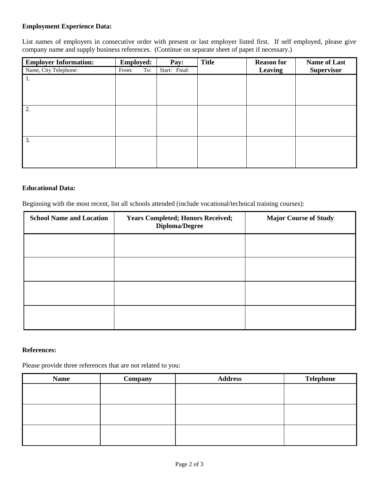#### **Employment Experience Data:**

List names of employers in consecutive order with present or last employer listed first. If self employed, please give company name and supply business references. (Continue on separate sheet of paper if necessary.)

| <b>Employer Information:</b> | <b>Employed:</b> | Pay:          | <b>Title</b> | <b>Reason for</b> | <b>Name of Last</b> |
|------------------------------|------------------|---------------|--------------|-------------------|---------------------|
| Name, City Telephone:        | To:<br>From:     | Start: Final: |              | Leaving           | <b>Supervisor</b>   |
| 1.                           |                  |               |              |                   |                     |
|                              |                  |               |              |                   |                     |
|                              |                  |               |              |                   |                     |
|                              |                  |               |              |                   |                     |
| 2.                           |                  |               |              |                   |                     |
|                              |                  |               |              |                   |                     |
|                              |                  |               |              |                   |                     |
|                              |                  |               |              |                   |                     |
| 3.                           |                  |               |              |                   |                     |
|                              |                  |               |              |                   |                     |
|                              |                  |               |              |                   |                     |
|                              |                  |               |              |                   |                     |

#### **Educational Data:**

Beginning with the most recent, list all schools attended (include vocational/technical training courses):

| <b>School Name and Location</b> | <b>Years Completed; Honors Received;</b><br>Diploma/Degree | <b>Major Course of Study</b> |
|---------------------------------|------------------------------------------------------------|------------------------------|
|                                 |                                                            |                              |
|                                 |                                                            |                              |
|                                 |                                                            |                              |
|                                 |                                                            |                              |

#### **References:**

Please provide three references that are not related to you:

| <b>Name</b> | Company | <b>Address</b> | <b>Telephone</b> |
|-------------|---------|----------------|------------------|
|             |         |                |                  |
|             |         |                |                  |
|             |         |                |                  |
|             |         |                |                  |
|             |         |                |                  |
|             |         |                |                  |